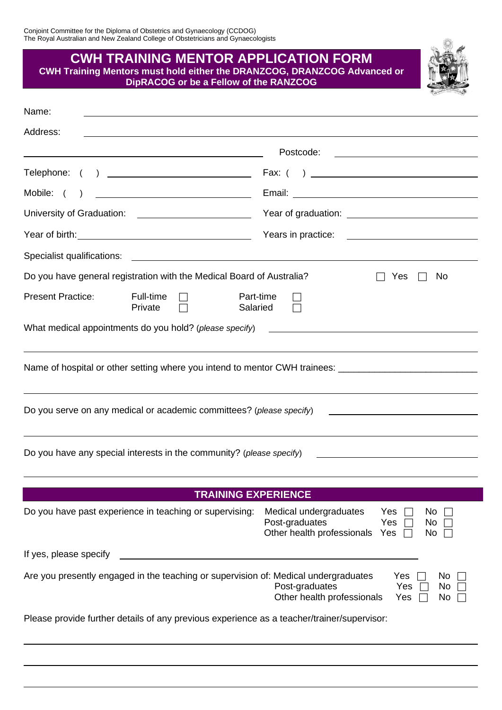| <b>CWH TRAINING MENTOR APPLICATION FORM</b><br>CWH Training Mentors must hold either the DRANZCOG, DRANZCOG Advanced or<br>DipRACOG or be a Fellow of the RANZCOG |                                                                                                                       |  |  |  |
|-------------------------------------------------------------------------------------------------------------------------------------------------------------------|-----------------------------------------------------------------------------------------------------------------------|--|--|--|
| Name:                                                                                                                                                             |                                                                                                                       |  |  |  |
| Address:                                                                                                                                                          |                                                                                                                       |  |  |  |
|                                                                                                                                                                   |                                                                                                                       |  |  |  |
| Telephone: ( ) _______________________________                                                                                                                    |                                                                                                                       |  |  |  |
| Mobile: (                                                                                                                                                         |                                                                                                                       |  |  |  |
|                                                                                                                                                                   |                                                                                                                       |  |  |  |
|                                                                                                                                                                   |                                                                                                                       |  |  |  |
|                                                                                                                                                                   |                                                                                                                       |  |  |  |
| Do you have general registration with the Medical Board of Australia?                                                                                             | No.<br>Yes                                                                                                            |  |  |  |
| <b>Present Practice:</b><br>Full-time<br>Salaried<br>Private                                                                                                      | Part-time                                                                                                             |  |  |  |
| What medical appointments do you hold? (please specify)                                                                                                           | <u> 1989 - John Stein, Amerikaansk politiker (</u>                                                                    |  |  |  |
| Name of hospital or other setting where you intend to mentor CWH trainees: _________________________                                                              |                                                                                                                       |  |  |  |
| Do you serve on any medical or academic committees? (please specify)                                                                                              | <u> 1989 - Johann Barbara, martin amerikan basar dan berasal dan berasal dalam basar dalam basar dalam basar dala</u> |  |  |  |
| Do you have any special interests in the community? (please specify)                                                                                              |                                                                                                                       |  |  |  |
| <b>TRAINING EXPERIENCE</b>                                                                                                                                        |                                                                                                                       |  |  |  |
| Do you have past experience in teaching or supervising:                                                                                                           | Medical undergraduates<br>Yes<br>No.<br>Post-graduates<br>Yes<br>No<br>Other health professionals<br>Yes<br>No        |  |  |  |
| If yes, please specify                                                                                                                                            |                                                                                                                       |  |  |  |
| Are you presently engaged in the teaching or supervision of: Medical undergraduates                                                                               | Yes<br>No.<br>Post-graduates<br>Yes<br>No.<br>Other health professionals<br>Yes<br>No.                                |  |  |  |
| Please provide further details of any previous experience as a teacher/trainer/supervisor:                                                                        |                                                                                                                       |  |  |  |

 $\begin{array}{c} \frac{\partial \mathbf{G}}{\partial \mathbf{G}} & \mathbf{A} \end{array}$